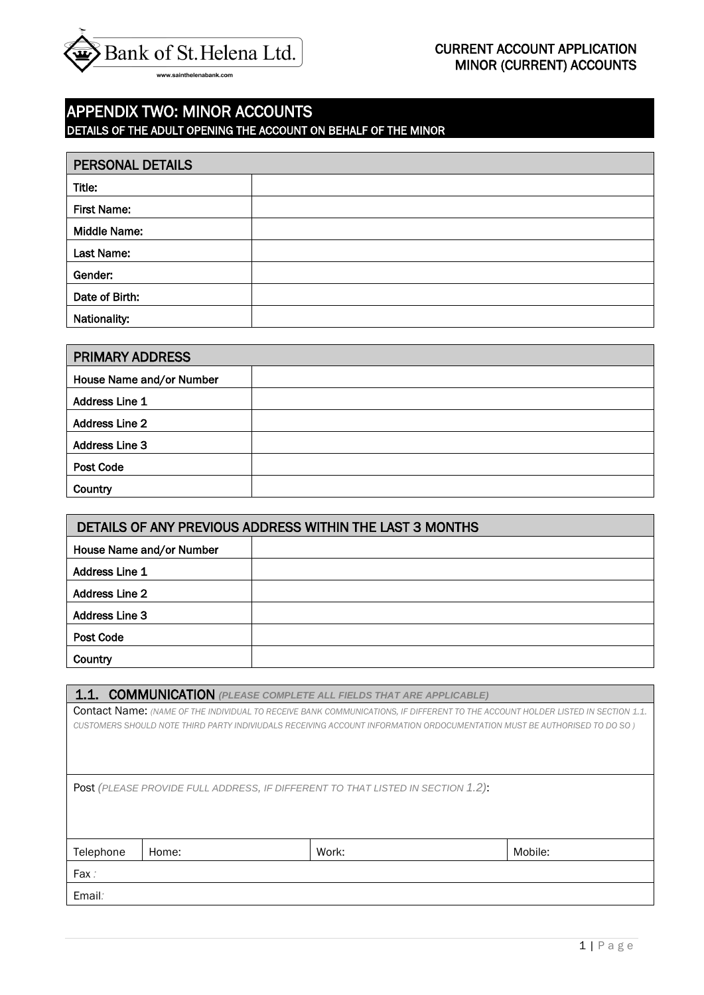

# APPENDIX TWO: MINOR ACCOUNTS DETAILS OF THE ADULT OPENING THE ACCOUNT ON BEHALF OF THE MINOR

| <b>PERSONAL DETAILS</b> |  |
|-------------------------|--|
| Title:                  |  |
| <b>First Name:</b>      |  |
| <b>Middle Name:</b>     |  |
| Last Name:              |  |
| Gender:                 |  |
| Date of Birth:          |  |
| Nationality:            |  |

| <b>PRIMARY ADDRESS</b>   |  |
|--------------------------|--|
| House Name and/or Number |  |
| Address Line 1           |  |
| <b>Address Line 2</b>    |  |
| <b>Address Line 3</b>    |  |
| Post Code                |  |
| Country                  |  |

| DETAILS OF ANY PREVIOUS ADDRESS WITHIN THE LAST 3 MONTHS |  |  |
|----------------------------------------------------------|--|--|
| House Name and/or Number                                 |  |  |
| <b>Address Line 1</b>                                    |  |  |
| <b>Address Line 2</b>                                    |  |  |
| <b>Address Line 3</b>                                    |  |  |
| Post Code                                                |  |  |
| Country                                                  |  |  |

1.1. COMMUNICATION *(PLEASE COMPLETE ALL FIELDS THAT ARE APPLICABLE)*

Contact Name: *(NAME OF THE INDIVIDUAL TO RECEIVE BANK COMMUNICATIONS, IF DIFFERENT TO THE ACCOUNT HOLDER LISTED IN SECTION 1.1. CUSTOMERS SHOULD NOTE THIRD PARTY INDIVIUDALS RECEIVING ACCOUNT INFORMATION ORDOCUMENTATION MUST BE AUTHORISED TO DO SO )*

Post *(PLEASE PROVIDE FULL ADDRESS, IF DIFFERENT TO THAT LISTED IN SECTION 1.2)*:

| Telephone | Home: | Work: | Mobile: |
|-----------|-------|-------|---------|
| Fax:      |       |       |         |
| Email:    |       |       |         |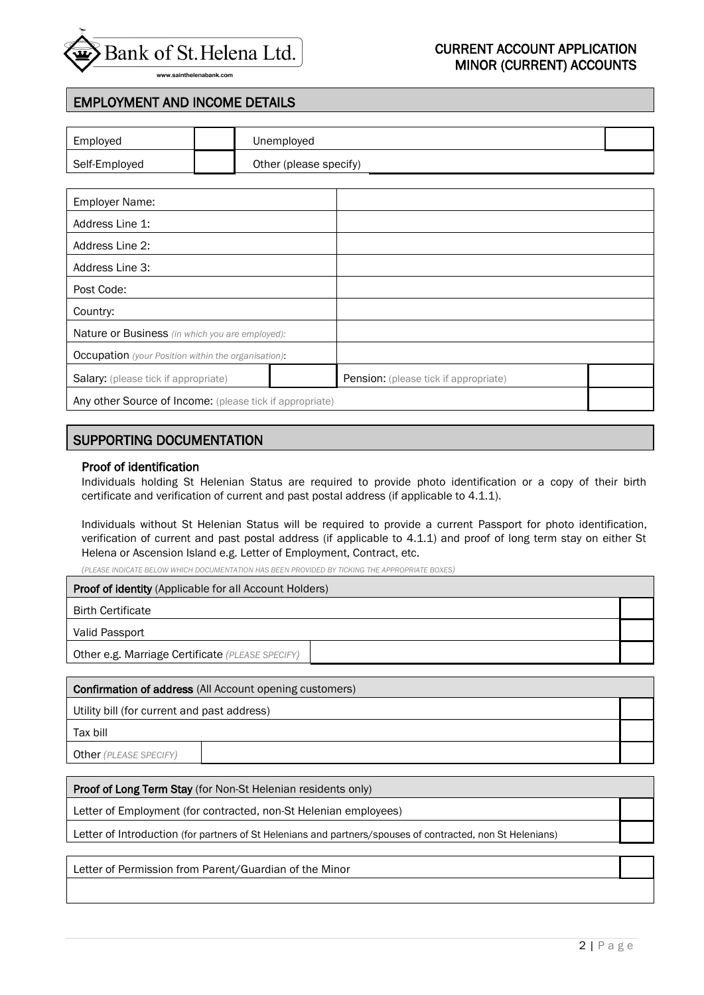

## CURRENT ACCOUNT APPLICATION  $\widehat{\Theta}$   $\overline{\Theta}$   $\overline{\Theta}$   $\overline{\Theta}$   $\overline{\Theta}$   $\overline{\Theta}$   $\overline{\Theta}$   $\overline{\Theta}$   $\overline{\Theta}$   $\overline{\Theta}$   $\overline{\Theta}$   $\overline{\Theta}$   $\overline{\Theta}$   $\overline{\Theta}$   $\overline{\Theta}$   $\overline{\Theta}$   $\overline{\Theta}$   $\overline{\Theta}$   $\overline{\Theta}$   $\overline{\Theta}$   $\overline{\Theta}$   $\overline{\Theta}$   $\overline{\Theta}$   $\overline{\Theta}$   $\overline{\$

## EMPLOYMENT AND INCOME DETAILS

| Employed                                                   | Unemployed             |                                       |  |
|------------------------------------------------------------|------------------------|---------------------------------------|--|
| Self-Employed                                              | Other (please specify) |                                       |  |
|                                                            |                        |                                       |  |
| <b>Employer Name:</b>                                      |                        |                                       |  |
| Address Line 1:                                            |                        |                                       |  |
| Address Line 2:                                            |                        |                                       |  |
| Address Line 3:                                            |                        |                                       |  |
| Post Code:                                                 |                        |                                       |  |
| Country:                                                   |                        |                                       |  |
| <b>Nature or Business</b> (in which you are employed):     |                        |                                       |  |
| <b>Occupation</b> (your Position within the organisation): |                        |                                       |  |
| <b>Salary:</b> (please tick if appropriate)                |                        | Pension: (please tick if appropriate) |  |

Any other Source of Income: (please tick if appropriate)

### SUPPORTING DOCUMENTATION

#### Proof of identification

Individuals holding St Helenian Status are required to provide photo identification or a copy of their birth certificate and verification of current and past postal address (if applicable to 4.1.1).

Individuals without St Helenian Status will be required to provide a current Passport for photo identification, verification of current and past postal address (if applicable to 4.1.1) and proof of long term stay on either St Helena or Ascension Island e.g. Letter of Employment, Contract, etc.

*(PLEASE INDICATE BELOW WHICH DOCUMENTATION HAS BEEN PROVIDED BY TICKING THE APPROPRIATE BOXES)*

| <b>Proof of identity</b> (Applicable for all Account Holders) |  |
|---------------------------------------------------------------|--|
| <b>Birth Certificate</b>                                      |  |
| Valid Passport                                                |  |
| Other e.g. Marriage Certificate (PLEASE SPECIFY)              |  |

Confirmation of address (All Account opening customers) Utility bill (for current and past address) Tax bill Other *(PLEASE SPECIFY)*

Proof of Long Term Stay (for Non-St Helenian residents only)

Letter of Employment (for contracted, non-St Helenian employees)

Letter of Introduction (for partners of St Helenians and partners/spouses of contracted, non St Helenians)

Letter of Permission from Parent/Guardian of the Minor